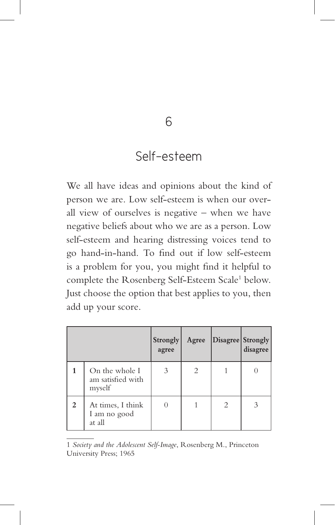## Self-esteem

We all have ideas and opinions about the kind of person we are. Low self-esteem is when our overall view of ourselves is negative – when we have negative beliefs about who we are as a person. Low self-esteem and hearing distressing voices tend to go hand-in-hand. To find out if low self-esteem is a problem for you, you might find it helpful to complete the Rosenberg Self-Esteem Scale<sup>1</sup> below. Just choose the option that best applies to you, then add up your score.

|              |                                               | <b>Strongly</b><br>agree | Agree | Disagree Strongly | disagree |
|--------------|-----------------------------------------------|--------------------------|-------|-------------------|----------|
|              | On the whole I<br>am satisfied with<br>myself | 3                        |       |                   |          |
| $\mathbf{2}$ | At times, I think<br>I am no good<br>at all   |                          |       | 2                 |          |

<sup>1</sup> *Society and the Adolescent Self-Image*, Rosenberg M., Princeton University Press; 1965